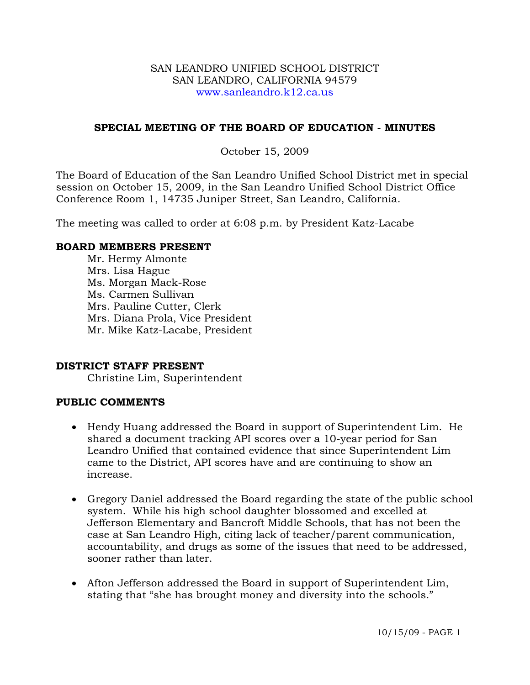#### SAN LEANDRO UNIFIED SCHOOL DISTRICT SAN LEANDRO, CALIFORNIA 94579 www.sanleandro.k12.ca.us

#### **SPECIAL MEETING OF THE BOARD OF EDUCATION - MINUTES**

### October 15, 2009

The Board of Education of the San Leandro Unified School District met in special session on October 15, 2009, in the San Leandro Unified School District Office Conference Room 1, 14735 Juniper Street, San Leandro, California.

The meeting was called to order at 6:08 p.m. by President Katz-Lacabe

#### **BOARD MEMBERS PRESENT**

Mr. Hermy Almonte Mrs. Lisa Hague Ms. Morgan Mack-Rose Ms. Carmen Sullivan Mrs. Pauline Cutter, Clerk Mrs. Diana Prola, Vice President Mr. Mike Katz-Lacabe, President

#### **DISTRICT STAFF PRESENT**

Christine Lim, Superintendent

#### **PUBLIC COMMENTS**

- Hendy Huang addressed the Board in support of Superintendent Lim. He shared a document tracking API scores over a 10-year period for San Leandro Unified that contained evidence that since Superintendent Lim came to the District, API scores have and are continuing to show an increase.
- Gregory Daniel addressed the Board regarding the state of the public school system. While his high school daughter blossomed and excelled at Jefferson Elementary and Bancroft Middle Schools, that has not been the case at San Leandro High, citing lack of teacher/parent communication, accountability, and drugs as some of the issues that need to be addressed, sooner rather than later.
- Afton Jefferson addressed the Board in support of Superintendent Lim, stating that "she has brought money and diversity into the schools."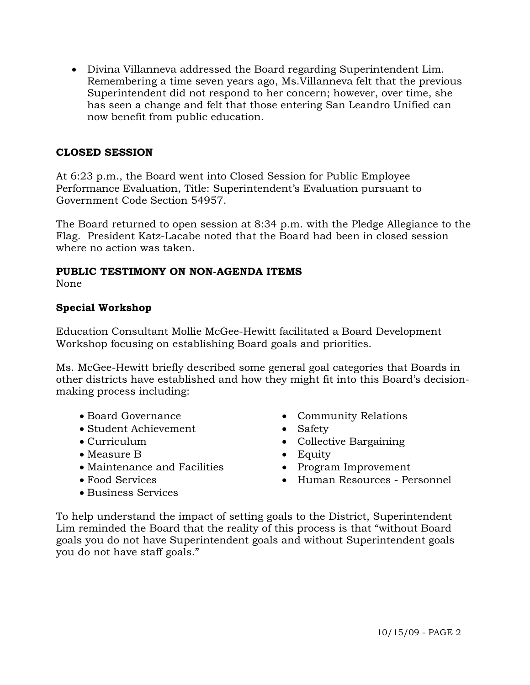• Divina Villanneva addressed the Board regarding Superintendent Lim. Remembering a time seven years ago, Ms.Villanneva felt that the previous Superintendent did not respond to her concern; however, over time, she has seen a change and felt that those entering San Leandro Unified can now benefit from public education.

### **CLOSED SESSION**

At 6:23 p.m., the Board went into Closed Session for Public Employee Performance Evaluation, Title: Superintendent's Evaluation pursuant to Government Code Section 54957.

The Board returned to open session at 8:34 p.m. with the Pledge Allegiance to the Flag. President Katz-Lacabe noted that the Board had been in closed session where no action was taken.

# **PUBLIC TESTIMONY ON NON-AGENDA ITEMS**

None

# **Special Workshop**

Education Consultant Mollie McGee-Hewitt facilitated a Board Development Workshop focusing on establishing Board goals and priorities.

Ms. McGee-Hewitt briefly described some general goal categories that Boards in other districts have established and how they might fit into this Board's decisionmaking process including:

- 
- Student Achievement Safety
- 
- Measure B Equity
- Maintenance and Facilities Program Improvement
- 
- Business Services
- Board Governance Community Relations
	-
- Curriculum Collective Bargaining
	-
	-
- Food Services Human Resources Personnel

To help understand the impact of setting goals to the District, Superintendent Lim reminded the Board that the reality of this process is that "without Board goals you do not have Superintendent goals and without Superintendent goals you do not have staff goals."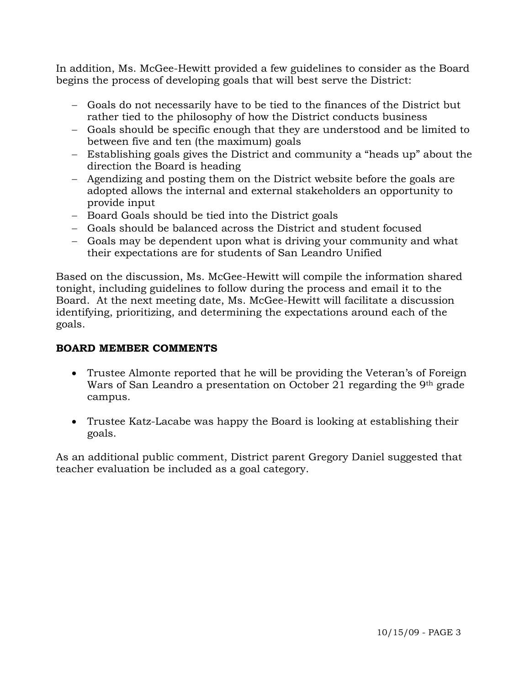In addition, Ms. McGee-Hewitt provided a few guidelines to consider as the Board begins the process of developing goals that will best serve the District:

- − Goals do not necessarily have to be tied to the finances of the District but rather tied to the philosophy of how the District conducts business
- − Goals should be specific enough that they are understood and be limited to between five and ten (the maximum) goals
- − Establishing goals gives the District and community a "heads up" about the direction the Board is heading
- − Agendizing and posting them on the District website before the goals are adopted allows the internal and external stakeholders an opportunity to provide input
- − Board Goals should be tied into the District goals
- − Goals should be balanced across the District and student focused
- − Goals may be dependent upon what is driving your community and what their expectations are for students of San Leandro Unified

Based on the discussion, Ms. McGee-Hewitt will compile the information shared tonight, including guidelines to follow during the process and email it to the Board. At the next meeting date, Ms. McGee-Hewitt will facilitate a discussion identifying, prioritizing, and determining the expectations around each of the goals.

# **BOARD MEMBER COMMENTS**

- Trustee Almonte reported that he will be providing the Veteran's of Foreign Wars of San Leandro a presentation on October 21 regarding the 9th grade campus.
- Trustee Katz-Lacabe was happy the Board is looking at establishing their goals.

As an additional public comment, District parent Gregory Daniel suggested that teacher evaluation be included as a goal category.